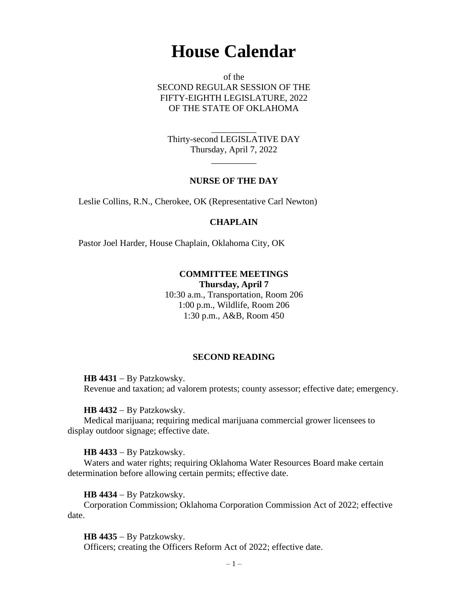# **House Calendar**

of the SECOND REGULAR SESSION OF THE FIFTY-EIGHTH LEGISLATURE, 2022 OF THE STATE OF OKLAHOMA

Thirty-second LEGISLATIVE DAY Thursday, April 7, 2022

 $\overline{\phantom{a}}$ 

\_\_\_\_\_\_\_\_\_\_

## **NURSE OF THE DAY**

Leslie Collins, R.N., Cherokee, OK (Representative Carl Newton)

#### **CHAPLAIN**

Pastor Joel Harder, House Chaplain, Oklahoma City, OK

# **COMMITTEE MEETINGS Thursday, April 7**

10:30 a.m., Transportation, Room 206 1:00 p.m., Wildlife, Room 206 1:30 p.m., A&B, Room 450

#### **SECOND READING**

**HB 4431** − By Patzkowsky. Revenue and taxation; ad valorem protests; county assessor; effective date; emergency.

**HB 4432** − By Patzkowsky.

Medical marijuana; requiring medical marijuana commercial grower licensees to display outdoor signage; effective date.

#### **HB 4433** − By Patzkowsky.

Waters and water rights; requiring Oklahoma Water Resources Board make certain determination before allowing certain permits; effective date.

**HB 4434** − By Patzkowsky.

Corporation Commission; Oklahoma Corporation Commission Act of 2022; effective date.

**HB 4435** − By Patzkowsky.

Officers; creating the Officers Reform Act of 2022; effective date.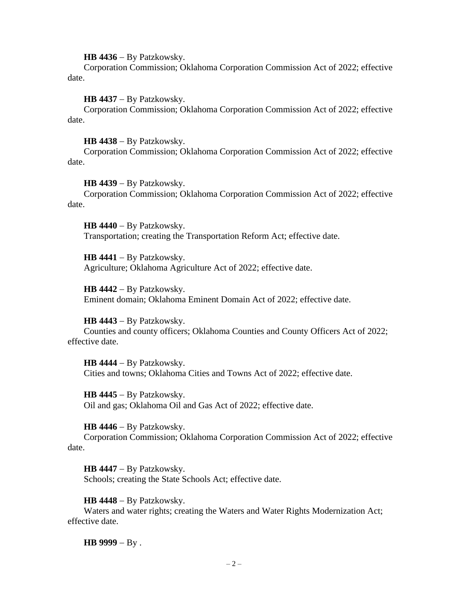**HB 4436** − By Patzkowsky.

Corporation Commission; Oklahoma Corporation Commission Act of 2022; effective date.

**HB 4437** − By Patzkowsky.

Corporation Commission; Oklahoma Corporation Commission Act of 2022; effective date.

**HB 4438** − By Patzkowsky.

Corporation Commission; Oklahoma Corporation Commission Act of 2022; effective date.

**HB 4439** − By Patzkowsky.

Corporation Commission; Oklahoma Corporation Commission Act of 2022; effective date.

**HB 4440** − By Patzkowsky. Transportation; creating the Transportation Reform Act; effective date.

**HB 4441** − By Patzkowsky. Agriculture; Oklahoma Agriculture Act of 2022; effective date.

**HB 4442** − By Patzkowsky. Eminent domain; Oklahoma Eminent Domain Act of 2022; effective date.

**HB 4443** − By Patzkowsky. Counties and county officers; Oklahoma Counties and County Officers Act of 2022; effective date.

**HB 4444** − By Patzkowsky. Cities and towns; Oklahoma Cities and Towns Act of 2022; effective date.

**HB 4445** − By Patzkowsky. Oil and gas; Oklahoma Oil and Gas Act of 2022; effective date.

**HB 4446** − By Patzkowsky.

Corporation Commission; Oklahoma Corporation Commission Act of 2022; effective date.

**HB 4447** − By Patzkowsky. Schools; creating the State Schools Act; effective date.

**HB 4448** − By Patzkowsky.

Waters and water rights; creating the Waters and Water Rights Modernization Act; effective date.

**HB 9999** − By .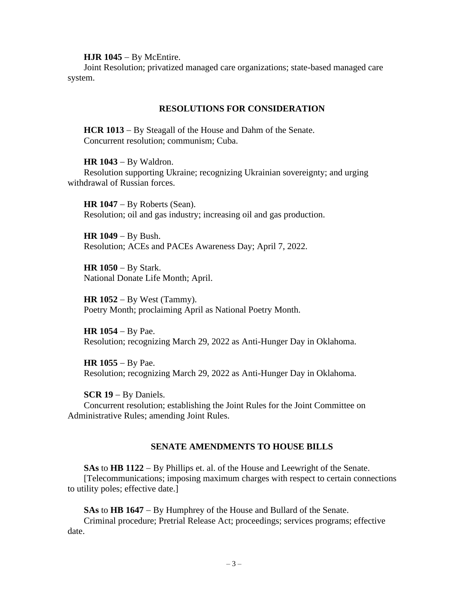**HJR 1045** − By McEntire.

Joint Resolution; privatized managed care organizations; state-based managed care system.

# **RESOLUTIONS FOR CONSIDERATION**

**HCR 1013** − By Steagall of the House and Dahm of the Senate. Concurrent resolution; communism; Cuba.

**HR 1043** − By Waldron. Resolution supporting Ukraine; recognizing Ukrainian sovereignty; and urging withdrawal of Russian forces.

**HR 1047** − By Roberts (Sean). Resolution; oil and gas industry; increasing oil and gas production.

**HR 1049** − By Bush. Resolution; ACEs and PACEs Awareness Day; April 7, 2022.

**HR 1050** − By Stark. National Donate Life Month; April.

**HR 1052** − By West (Tammy). Poetry Month; proclaiming April as National Poetry Month.

**HR 1054** − By Pae. Resolution; recognizing March 29, 2022 as Anti-Hunger Day in Oklahoma.

**HR 1055** − By Pae. Resolution; recognizing March 29, 2022 as Anti-Hunger Day in Oklahoma.

**SCR 19** − By Daniels. Concurrent resolution; establishing the Joint Rules for the Joint Committee on Administrative Rules; amending Joint Rules.

# **SENATE AMENDMENTS TO HOUSE BILLS**

**SAs** to **HB 1122** − By Phillips et. al. of the House and Leewright of the Senate. [Telecommunications; imposing maximum charges with respect to certain connections to utility poles; effective date.]

**SAs** to **HB 1647** − By Humphrey of the House and Bullard of the Senate. Criminal procedure; Pretrial Release Act; proceedings; services programs; effective date.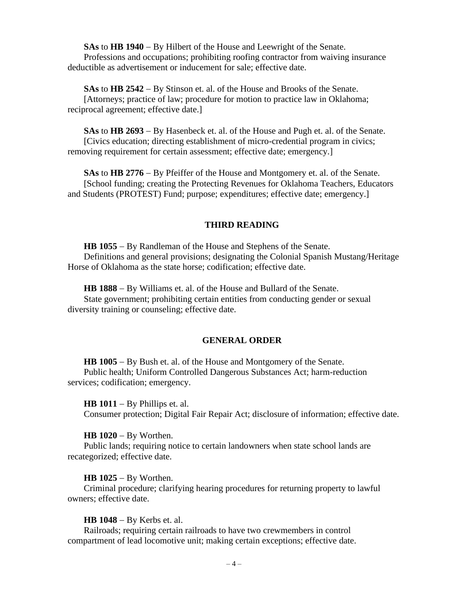**SAs** to **HB 1940** − By Hilbert of the House and Leewright of the Senate. Professions and occupations; prohibiting roofing contractor from waiving insurance deductible as advertisement or inducement for sale; effective date.

**SAs** to **HB 2542** − By Stinson et. al. of the House and Brooks of the Senate. [Attorneys; practice of law; procedure for motion to practice law in Oklahoma; reciprocal agreement; effective date.]

**SAs** to **HB 2693** − By Hasenbeck et. al. of the House and Pugh et. al. of the Senate. [Civics education; directing establishment of micro-credential program in civics; removing requirement for certain assessment; effective date; emergency.]

**SAs** to **HB 2776** − By Pfeiffer of the House and Montgomery et. al. of the Senate. [School funding; creating the Protecting Revenues for Oklahoma Teachers, Educators and Students (PROTEST) Fund; purpose; expenditures; effective date; emergency.]

## **THIRD READING**

**HB 1055** − By Randleman of the House and Stephens of the Senate. Definitions and general provisions; designating the Colonial Spanish Mustang/Heritage Horse of Oklahoma as the state horse; codification; effective date.

**HB 1888** − By Williams et. al. of the House and Bullard of the Senate.

State government; prohibiting certain entities from conducting gender or sexual diversity training or counseling; effective date.

## **GENERAL ORDER**

**HB 1005** − By Bush et. al. of the House and Montgomery of the Senate. Public health; Uniform Controlled Dangerous Substances Act; harm-reduction services; codification; emergency.

**HB 1011** − By Phillips et. al. Consumer protection; Digital Fair Repair Act; disclosure of information; effective date.

#### **HB 1020** − By Worthen.

Public lands; requiring notice to certain landowners when state school lands are recategorized; effective date.

**HB 1025** − By Worthen.

Criminal procedure; clarifying hearing procedures for returning property to lawful owners; effective date.

**HB 1048** − By Kerbs et. al.

Railroads; requiring certain railroads to have two crewmembers in control compartment of lead locomotive unit; making certain exceptions; effective date.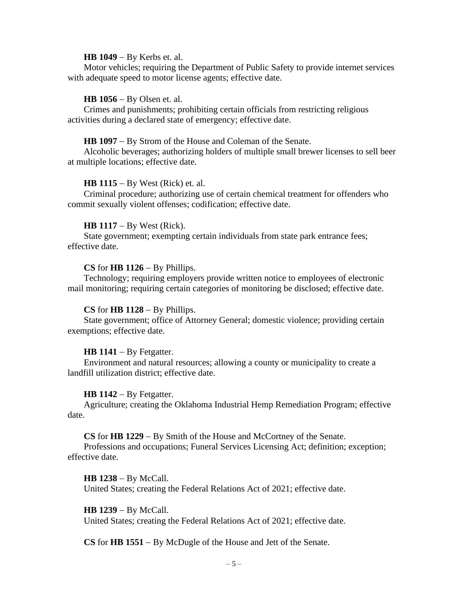#### **HB 1049** − By Kerbs et. al.

Motor vehicles; requiring the Department of Public Safety to provide internet services with adequate speed to motor license agents; effective date.

#### **HB 1056** − By Olsen et. al.

Crimes and punishments; prohibiting certain officials from restricting religious activities during a declared state of emergency; effective date.

#### **HB 1097** − By Strom of the House and Coleman of the Senate.

Alcoholic beverages; authorizing holders of multiple small brewer licenses to sell beer at multiple locations; effective date.

#### **HB 1115** − By West (Rick) et. al.

Criminal procedure; authorizing use of certain chemical treatment for offenders who commit sexually violent offenses; codification; effective date.

#### **HB 1117** − By West (Rick).

State government; exempting certain individuals from state park entrance fees; effective date.

#### **CS** for **HB 1126** − By Phillips.

Technology; requiring employers provide written notice to employees of electronic mail monitoring; requiring certain categories of monitoring be disclosed; effective date.

## **CS** for **HB 1128** − By Phillips.

State government; office of Attorney General; domestic violence; providing certain exemptions; effective date.

#### **HB 1141** − By Fetgatter.

Environment and natural resources; allowing a county or municipality to create a landfill utilization district; effective date.

#### **HB 1142** − By Fetgatter.

Agriculture; creating the Oklahoma Industrial Hemp Remediation Program; effective date.

# **CS** for **HB 1229** − By Smith of the House and McCortney of the Senate.

Professions and occupations; Funeral Services Licensing Act; definition; exception; effective date.

#### **HB 1238** − By McCall.

United States; creating the Federal Relations Act of 2021; effective date.

#### **HB 1239** − By McCall.

United States; creating the Federal Relations Act of 2021; effective date.

**CS** for **HB 1551** − By McDugle of the House and Jett of the Senate.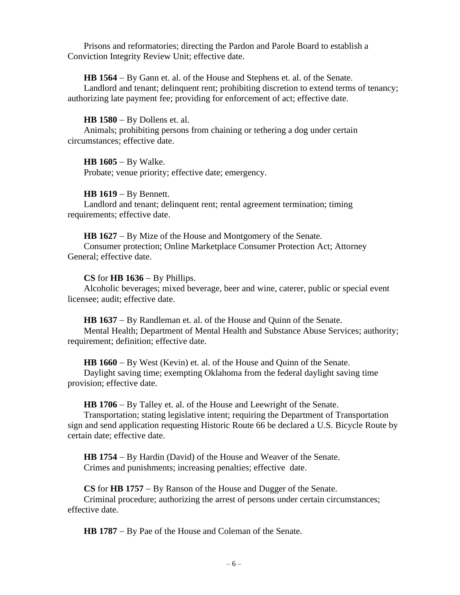Prisons and reformatories; directing the Pardon and Parole Board to establish a Conviction Integrity Review Unit; effective date.

**HB 1564** − By Gann et. al. of the House and Stephens et. al. of the Senate.

Landlord and tenant; delinquent rent; prohibiting discretion to extend terms of tenancy; authorizing late payment fee; providing for enforcement of act; effective date.

**HB 1580** − By Dollens et. al.

Animals; prohibiting persons from chaining or tethering a dog under certain circumstances; effective date.

**HB 1605** − By Walke. Probate; venue priority; effective date; emergency.

**HB 1619** − By Bennett.

Landlord and tenant; delinquent rent; rental agreement termination; timing requirements; effective date.

**HB 1627** − By Mize of the House and Montgomery of the Senate. Consumer protection; Online Marketplace Consumer Protection Act; Attorney General; effective date.

## **CS** for **HB 1636** − By Phillips.

Alcoholic beverages; mixed beverage, beer and wine, caterer, public or special event licensee; audit; effective date.

**HB 1637** − By Randleman et. al. of the House and Quinn of the Senate. Mental Health; Department of Mental Health and Substance Abuse Services; authority; requirement; definition; effective date.

**HB 1660** − By West (Kevin) et. al. of the House and Quinn of the Senate.

Daylight saving time; exempting Oklahoma from the federal daylight saving time provision; effective date.

**HB 1706** − By Talley et. al. of the House and Leewright of the Senate.

Transportation; stating legislative intent; requiring the Department of Transportation sign and send application requesting Historic Route 66 be declared a U.S. Bicycle Route by certain date; effective date.

**HB 1754** − By Hardin (David) of the House and Weaver of the Senate. Crimes and punishments; increasing penalties; effective date.

**CS** for **HB 1757** − By Ranson of the House and Dugger of the Senate. Criminal procedure; authorizing the arrest of persons under certain circumstances; effective date.

**HB 1787** − By Pae of the House and Coleman of the Senate.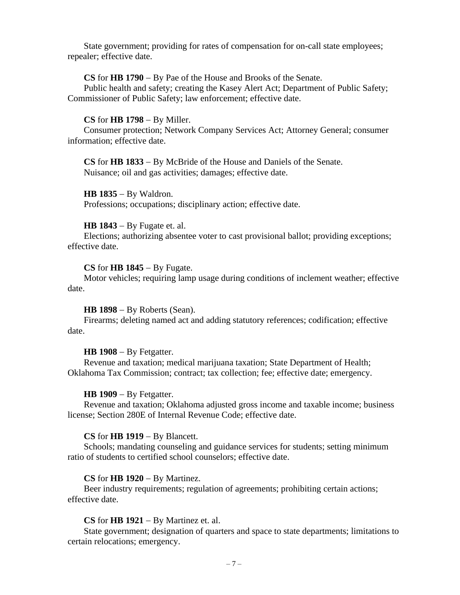State government; providing for rates of compensation for on-call state employees; repealer; effective date.

## **CS** for **HB 1790** − By Pae of the House and Brooks of the Senate.

Public health and safety; creating the Kasey Alert Act; Department of Public Safety; Commissioner of Public Safety; law enforcement; effective date.

## **CS** for **HB 1798** − By Miller.

Consumer protection; Network Company Services Act; Attorney General; consumer information; effective date.

**CS** for **HB 1833** − By McBride of the House and Daniels of the Senate. Nuisance; oil and gas activities; damages; effective date.

**HB 1835** − By Waldron. Professions; occupations; disciplinary action; effective date.

## **HB 1843** − By Fugate et. al.

Elections; authorizing absentee voter to cast provisional ballot; providing exceptions; effective date.

#### **CS** for **HB 1845** − By Fugate.

Motor vehicles; requiring lamp usage during conditions of inclement weather; effective date.

## **HB 1898** − By Roberts (Sean).

Firearms; deleting named act and adding statutory references; codification; effective date.

#### **HB 1908** − By Fetgatter.

Revenue and taxation; medical marijuana taxation; State Department of Health; Oklahoma Tax Commission; contract; tax collection; fee; effective date; emergency.

#### **HB 1909** − By Fetgatter.

Revenue and taxation; Oklahoma adjusted gross income and taxable income; business license; Section 280E of Internal Revenue Code; effective date.

#### **CS** for **HB 1919** − By Blancett.

Schools; mandating counseling and guidance services for students; setting minimum ratio of students to certified school counselors; effective date.

## **CS** for **HB 1920** − By Martinez.

Beer industry requirements; regulation of agreements; prohibiting certain actions; effective date.

## **CS** for **HB 1921** − By Martinez et. al.

State government; designation of quarters and space to state departments; limitations to certain relocations; emergency.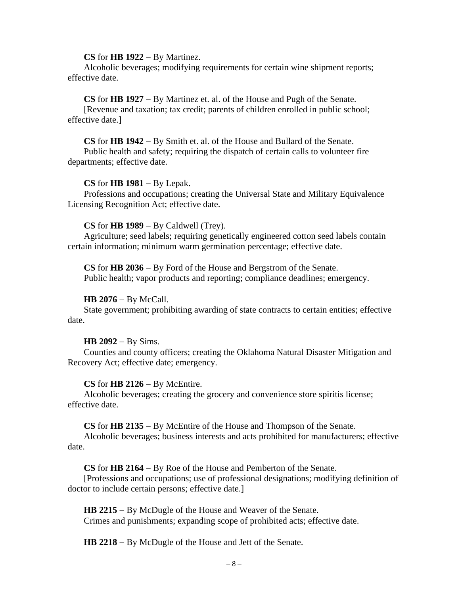#### **CS** for **HB 1922** − By Martinez.

Alcoholic beverages; modifying requirements for certain wine shipment reports; effective date.

## **CS** for **HB 1927** − By Martinez et. al. of the House and Pugh of the Senate.

[Revenue and taxation; tax credit; parents of children enrolled in public school; effective date.]

**CS** for **HB 1942** − By Smith et. al. of the House and Bullard of the Senate.

Public health and safety; requiring the dispatch of certain calls to volunteer fire departments; effective date.

## **CS** for **HB 1981** − By Lepak.

Professions and occupations; creating the Universal State and Military Equivalence Licensing Recognition Act; effective date.

## **CS** for **HB 1989** − By Caldwell (Trey).

Agriculture; seed labels; requiring genetically engineered cotton seed labels contain certain information; minimum warm germination percentage; effective date.

**CS** for **HB 2036** − By Ford of the House and Bergstrom of the Senate. Public health; vapor products and reporting; compliance deadlines; emergency.

## **HB 2076** − By McCall.

State government; prohibiting awarding of state contracts to certain entities; effective date.

#### **HB 2092** − By Sims.

Counties and county officers; creating the Oklahoma Natural Disaster Mitigation and Recovery Act; effective date; emergency.

## **CS** for **HB 2126** − By McEntire.

Alcoholic beverages; creating the grocery and convenience store spiritis license; effective date.

**CS** for **HB 2135** − By McEntire of the House and Thompson of the Senate.

Alcoholic beverages; business interests and acts prohibited for manufacturers; effective date.

**CS** for **HB 2164** − By Roe of the House and Pemberton of the Senate.

[Professions and occupations; use of professional designations; modifying definition of doctor to include certain persons; effective date.]

**HB 2215** − By McDugle of the House and Weaver of the Senate. Crimes and punishments; expanding scope of prohibited acts; effective date.

**HB 2218** − By McDugle of the House and Jett of the Senate.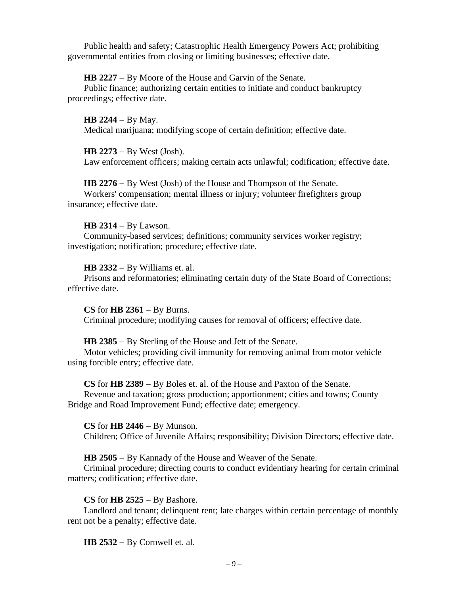Public health and safety; Catastrophic Health Emergency Powers Act; prohibiting governmental entities from closing or limiting businesses; effective date.

**HB 2227** − By Moore of the House and Garvin of the Senate.

Public finance; authorizing certain entities to initiate and conduct bankruptcy proceedings; effective date.

**HB 2244** − By May. Medical marijuana; modifying scope of certain definition; effective date.

**HB 2273** − By West (Josh). Law enforcement officers; making certain acts unlawful; codification; effective date.

**HB 2276** − By West (Josh) of the House and Thompson of the Senate. Workers' compensation; mental illness or injury; volunteer firefighters group insurance; effective date.

# **HB 2314** − By Lawson.

Community-based services; definitions; community services worker registry; investigation; notification; procedure; effective date.

**HB 2332** − By Williams et. al.

Prisons and reformatories; eliminating certain duty of the State Board of Corrections; effective date.

**CS** for **HB 2361** − By Burns. Criminal procedure; modifying causes for removal of officers; effective date.

**HB 2385** − By Sterling of the House and Jett of the Senate.

Motor vehicles; providing civil immunity for removing animal from motor vehicle using forcible entry; effective date.

**CS** for **HB 2389** − By Boles et. al. of the House and Paxton of the Senate. Revenue and taxation; gross production; apportionment; cities and towns; County Bridge and Road Improvement Fund; effective date; emergency.

**CS** for **HB 2446** − By Munson. Children; Office of Juvenile Affairs; responsibility; Division Directors; effective date.

**HB 2505** − By Kannady of the House and Weaver of the Senate.

Criminal procedure; directing courts to conduct evidentiary hearing for certain criminal matters; codification; effective date.

# **CS** for **HB 2525** − By Bashore.

Landlord and tenant; delinquent rent; late charges within certain percentage of monthly rent not be a penalty; effective date.

**HB 2532** − By Cornwell et. al.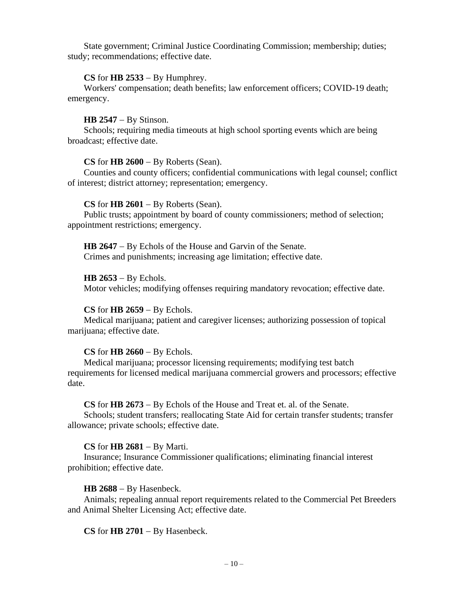State government; Criminal Justice Coordinating Commission; membership; duties; study; recommendations; effective date.

## **CS** for **HB 2533** − By Humphrey.

Workers' compensation; death benefits; law enforcement officers; COVID-19 death; emergency.

## **HB 2547** − By Stinson.

Schools; requiring media timeouts at high school sporting events which are being broadcast; effective date.

## **CS** for **HB 2600** − By Roberts (Sean).

Counties and county officers; confidential communications with legal counsel; conflict of interest; district attorney; representation; emergency.

#### **CS** for **HB 2601** − By Roberts (Sean).

Public trusts; appointment by board of county commissioners; method of selection; appointment restrictions; emergency.

**HB 2647** − By Echols of the House and Garvin of the Senate. Crimes and punishments; increasing age limitation; effective date.

#### **HB 2653** − By Echols.

Motor vehicles; modifying offenses requiring mandatory revocation; effective date.

## **CS** for **HB 2659** − By Echols.

Medical marijuana; patient and caregiver licenses; authorizing possession of topical marijuana; effective date.

## **CS** for **HB 2660** − By Echols.

Medical marijuana; processor licensing requirements; modifying test batch requirements for licensed medical marijuana commercial growers and processors; effective date.

## **CS** for **HB 2673** − By Echols of the House and Treat et. al. of the Senate.

Schools; student transfers; reallocating State Aid for certain transfer students; transfer allowance; private schools; effective date.

## **CS** for **HB 2681** − By Marti.

Insurance; Insurance Commissioner qualifications; eliminating financial interest prohibition; effective date.

#### **HB 2688** − By Hasenbeck.

Animals; repealing annual report requirements related to the Commercial Pet Breeders and Animal Shelter Licensing Act; effective date.

**CS** for **HB 2701** − By Hasenbeck.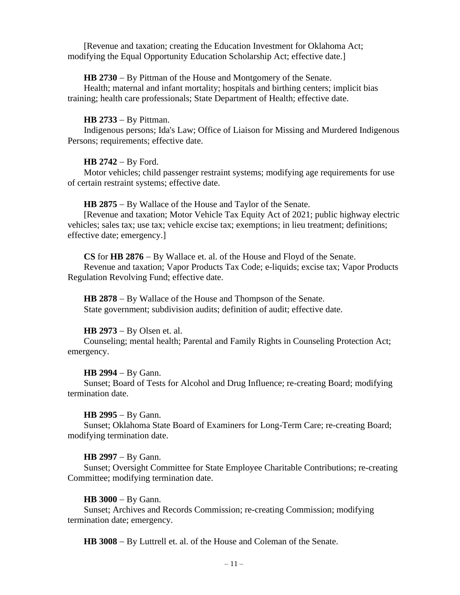[Revenue and taxation; creating the Education Investment for Oklahoma Act; modifying the Equal Opportunity Education Scholarship Act; effective date.]

#### **HB 2730** − By Pittman of the House and Montgomery of the Senate.

Health; maternal and infant mortality; hospitals and birthing centers; implicit bias training; health care professionals; State Department of Health; effective date.

#### **HB 2733** − By Pittman.

Indigenous persons; Ida's Law; Office of Liaison for Missing and Murdered Indigenous Persons; requirements; effective date.

#### **HB 2742** − By Ford.

Motor vehicles; child passenger restraint systems; modifying age requirements for use of certain restraint systems; effective date.

**HB 2875** − By Wallace of the House and Taylor of the Senate.

[Revenue and taxation; Motor Vehicle Tax Equity Act of 2021; public highway electric vehicles; sales tax; use tax; vehicle excise tax; exemptions; in lieu treatment; definitions; effective date; emergency.]

**CS** for **HB 2876** − By Wallace et. al. of the House and Floyd of the Senate.

Revenue and taxation; Vapor Products Tax Code; e-liquids; excise tax; Vapor Products Regulation Revolving Fund; effective date.

**HB 2878** − By Wallace of the House and Thompson of the Senate. State government; subdivision audits; definition of audit; effective date.

## **HB 2973** − By Olsen et. al.

Counseling; mental health; Parental and Family Rights in Counseling Protection Act; emergency.

#### **HB 2994** − By Gann.

Sunset; Board of Tests for Alcohol and Drug Influence; re-creating Board; modifying termination date.

#### **HB 2995** − By Gann.

Sunset; Oklahoma State Board of Examiners for Long-Term Care; re-creating Board; modifying termination date.

#### **HB 2997** − By Gann.

Sunset; Oversight Committee for State Employee Charitable Contributions; re-creating Committee; modifying termination date.

#### **HB 3000** − By Gann.

Sunset; Archives and Records Commission; re-creating Commission; modifying termination date; emergency.

**HB 3008** − By Luttrell et. al. of the House and Coleman of the Senate.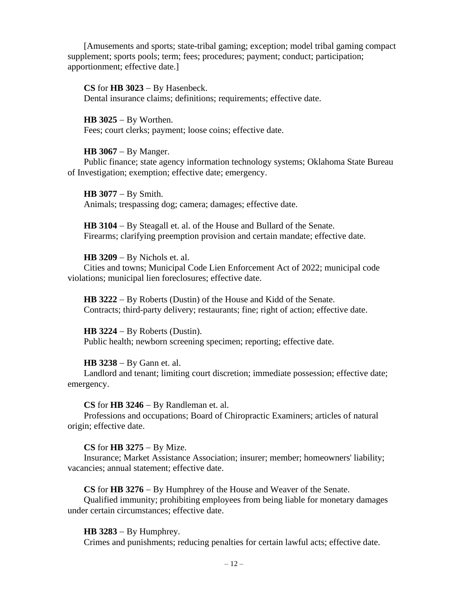[Amusements and sports; state-tribal gaming; exception; model tribal gaming compact supplement; sports pools; term; fees; procedures; payment; conduct; participation; apportionment; effective date.]

# **CS** for **HB 3023** − By Hasenbeck.

Dental insurance claims; definitions; requirements; effective date.

**HB 3025** − By Worthen. Fees; court clerks; payment; loose coins; effective date.

## **HB 3067** − By Manger.

Public finance; state agency information technology systems; Oklahoma State Bureau of Investigation; exemption; effective date; emergency.

**HB 3077** − By Smith. Animals; trespassing dog; camera; damages; effective date.

**HB 3104** − By Steagall et. al. of the House and Bullard of the Senate. Firearms; clarifying preemption provision and certain mandate; effective date.

## **HB 3209** − By Nichols et. al.

Cities and towns; Municipal Code Lien Enforcement Act of 2022; municipal code violations; municipal lien foreclosures; effective date.

**HB 3222** − By Roberts (Dustin) of the House and Kidd of the Senate. Contracts; third-party delivery; restaurants; fine; right of action; effective date.

## **HB 3224** − By Roberts (Dustin).

Public health; newborn screening specimen; reporting; effective date.

#### **HB 3238** − By Gann et. al.

Landlord and tenant; limiting court discretion; immediate possession; effective date; emergency.

## **CS** for **HB 3246** − By Randleman et. al.

Professions and occupations; Board of Chiropractic Examiners; articles of natural origin; effective date.

## **CS** for **HB 3275** − By Mize.

Insurance; Market Assistance Association; insurer; member; homeowners' liability; vacancies; annual statement; effective date.

**CS** for **HB 3276** − By Humphrey of the House and Weaver of the Senate.

Qualified immunity; prohibiting employees from being liable for monetary damages under certain circumstances; effective date.

#### **HB 3283** − By Humphrey.

Crimes and punishments; reducing penalties for certain lawful acts; effective date.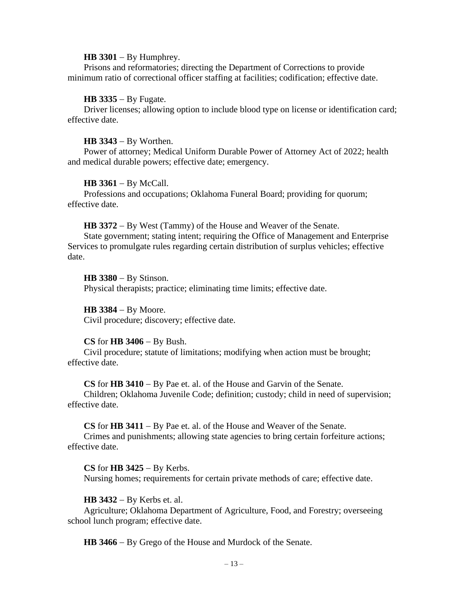#### **HB 3301** − By Humphrey.

Prisons and reformatories; directing the Department of Corrections to provide minimum ratio of correctional officer staffing at facilities; codification; effective date.

#### **HB 3335** − By Fugate.

Driver licenses; allowing option to include blood type on license or identification card; effective date.

#### **HB 3343** − By Worthen.

Power of attorney; Medical Uniform Durable Power of Attorney Act of 2022; health and medical durable powers; effective date; emergency.

#### **HB 3361** − By McCall.

Professions and occupations; Oklahoma Funeral Board; providing for quorum; effective date.

#### **HB 3372** − By West (Tammy) of the House and Weaver of the Senate.

State government; stating intent; requiring the Office of Management and Enterprise Services to promulgate rules regarding certain distribution of surplus vehicles; effective date.

#### **HB 3380** − By Stinson.

Physical therapists; practice; eliminating time limits; effective date.

#### **HB 3384** − By Moore.

Civil procedure; discovery; effective date.

#### **CS** for **HB 3406** − By Bush.

Civil procedure; statute of limitations; modifying when action must be brought; effective date.

**CS** for **HB 3410** − By Pae et. al. of the House and Garvin of the Senate.

Children; Oklahoma Juvenile Code; definition; custody; child in need of supervision; effective date.

**CS** for **HB 3411** − By Pae et. al. of the House and Weaver of the Senate.

Crimes and punishments; allowing state agencies to bring certain forfeiture actions; effective date.

**CS** for **HB 3425** − By Kerbs.

Nursing homes; requirements for certain private methods of care; effective date.

## **HB 3432** − By Kerbs et. al.

Agriculture; Oklahoma Department of Agriculture, Food, and Forestry; overseeing school lunch program; effective date.

**HB 3466** − By Grego of the House and Murdock of the Senate.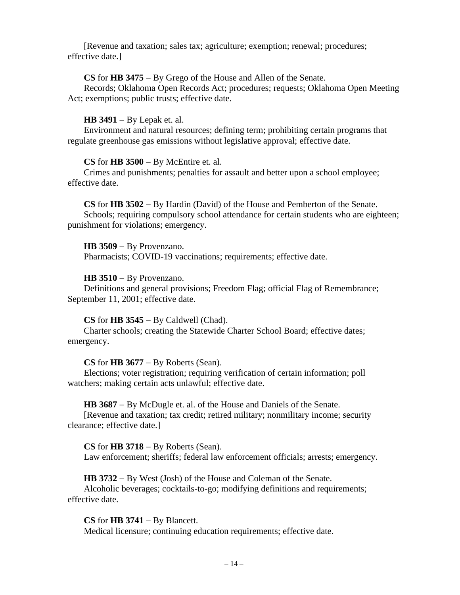[Revenue and taxation; sales tax; agriculture; exemption; renewal; procedures; effective date.]

## **CS** for **HB 3475** − By Grego of the House and Allen of the Senate.

Records; Oklahoma Open Records Act; procedures; requests; Oklahoma Open Meeting Act; exemptions; public trusts; effective date.

# **HB 3491** − By Lepak et. al.

Environment and natural resources; defining term; prohibiting certain programs that regulate greenhouse gas emissions without legislative approval; effective date.

# **CS** for **HB 3500** − By McEntire et. al.

Crimes and punishments; penalties for assault and better upon a school employee; effective date.

**CS** for **HB 3502** − By Hardin (David) of the House and Pemberton of the Senate. Schools; requiring compulsory school attendance for certain students who are eighteen; punishment for violations; emergency.

**HB 3509** − By Provenzano. Pharmacists; COVID-19 vaccinations; requirements; effective date.

# **HB 3510** − By Provenzano.

Definitions and general provisions; Freedom Flag; official Flag of Remembrance; September 11, 2001; effective date.

## **CS** for **HB 3545** − By Caldwell (Chad).

Charter schools; creating the Statewide Charter School Board; effective dates; emergency.

## **CS** for **HB 3677** − By Roberts (Sean).

Elections; voter registration; requiring verification of certain information; poll watchers; making certain acts unlawful; effective date.

## **HB 3687** − By McDugle et. al. of the House and Daniels of the Senate.

[Revenue and taxation; tax credit; retired military; nonmilitary income; security clearance; effective date.]

**CS** for **HB 3718** − By Roberts (Sean). Law enforcement; sheriffs; federal law enforcement officials; arrests; emergency.

**HB 3732** − By West (Josh) of the House and Coleman of the Senate.

Alcoholic beverages; cocktails-to-go; modifying definitions and requirements; effective date.

**CS** for **HB 3741** − By Blancett.

Medical licensure; continuing education requirements; effective date.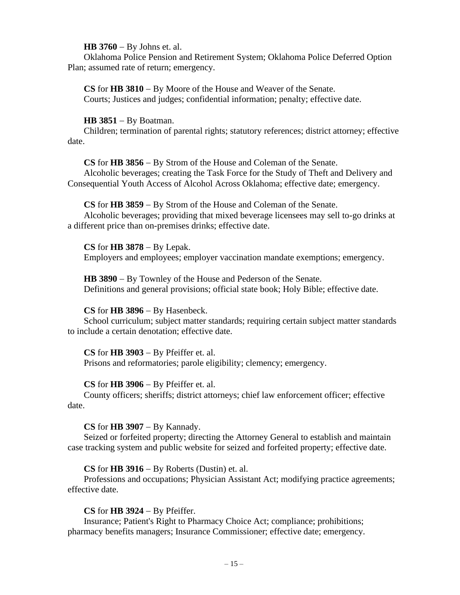## **HB 3760** − By Johns et. al.

Oklahoma Police Pension and Retirement System; Oklahoma Police Deferred Option Plan; assumed rate of return; emergency.

**CS** for **HB 3810** − By Moore of the House and Weaver of the Senate. Courts; Justices and judges; confidential information; penalty; effective date.

## **HB 3851** − By Boatman.

Children; termination of parental rights; statutory references; district attorney; effective date.

**CS** for **HB 3856** − By Strom of the House and Coleman of the Senate.

Alcoholic beverages; creating the Task Force for the Study of Theft and Delivery and Consequential Youth Access of Alcohol Across Oklahoma; effective date; emergency.

# **CS** for **HB 3859** − By Strom of the House and Coleman of the Senate.

Alcoholic beverages; providing that mixed beverage licensees may sell to-go drinks at a different price than on-premises drinks; effective date.

**CS** for **HB 3878** − By Lepak.

Employers and employees; employer vaccination mandate exemptions; emergency.

**HB 3890** − By Townley of the House and Pederson of the Senate. Definitions and general provisions; official state book; Holy Bible; effective date.

# **CS** for **HB 3896** − By Hasenbeck.

School curriculum; subject matter standards; requiring certain subject matter standards to include a certain denotation; effective date.

## **CS** for **HB 3903** − By Pfeiffer et. al.

Prisons and reformatories; parole eligibility; clemency; emergency.

# **CS** for **HB 3906** − By Pfeiffer et. al.

County officers; sheriffs; district attorneys; chief law enforcement officer; effective date.

**CS** for **HB 3907** − By Kannady.

Seized or forfeited property; directing the Attorney General to establish and maintain case tracking system and public website for seized and forfeited property; effective date.

# **CS** for **HB 3916** − By Roberts (Dustin) et. al.

Professions and occupations; Physician Assistant Act; modifying practice agreements; effective date.

# **CS** for **HB 3924** − By Pfeiffer.

Insurance; Patient's Right to Pharmacy Choice Act; compliance; prohibitions; pharmacy benefits managers; Insurance Commissioner; effective date; emergency.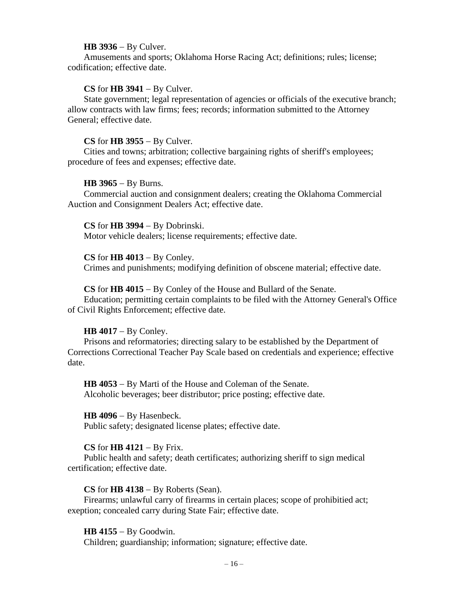#### **HB 3936** − By Culver.

Amusements and sports; Oklahoma Horse Racing Act; definitions; rules; license; codification; effective date.

## **CS** for **HB 3941** − By Culver.

State government; legal representation of agencies or officials of the executive branch; allow contracts with law firms; fees; records; information submitted to the Attorney General; effective date.

## **CS** for **HB 3955** − By Culver.

Cities and towns; arbitration; collective bargaining rights of sheriff's employees; procedure of fees and expenses; effective date.

## **HB 3965** − By Burns.

Commercial auction and consignment dealers; creating the Oklahoma Commercial Auction and Consignment Dealers Act; effective date.

## **CS** for **HB 3994** − By Dobrinski.

Motor vehicle dealers; license requirements; effective date.

## **CS** for **HB 4013** − By Conley.

Crimes and punishments; modifying definition of obscene material; effective date.

## **CS** for **HB 4015** − By Conley of the House and Bullard of the Senate.

Education; permitting certain complaints to be filed with the Attorney General's Office of Civil Rights Enforcement; effective date.

## **HB 4017** − By Conley.

Prisons and reformatories; directing salary to be established by the Department of Corrections Correctional Teacher Pay Scale based on credentials and experience; effective date.

**HB 4053** − By Marti of the House and Coleman of the Senate. Alcoholic beverages; beer distributor; price posting; effective date.

#### **HB 4096** − By Hasenbeck.

Public safety; designated license plates; effective date.

## **CS** for **HB 4121** − By Frix.

Public health and safety; death certificates; authorizing sheriff to sign medical certification; effective date.

## **CS** for **HB 4138** − By Roberts (Sean).

Firearms; unlawful carry of firearms in certain places; scope of prohibitied act; exeption; concealed carry during State Fair; effective date.

## **HB 4155** − By Goodwin.

Children; guardianship; information; signature; effective date.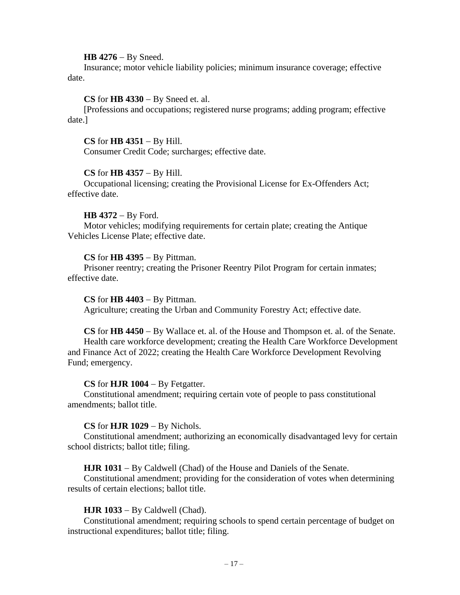## **HB 4276** − By Sneed.

Insurance; motor vehicle liability policies; minimum insurance coverage; effective date.

## **CS** for **HB 4330** − By Sneed et. al.

[Professions and occupations; registered nurse programs; adding program; effective date.]

### **CS** for **HB 4351** − By Hill.

Consumer Credit Code; surcharges; effective date.

#### **CS** for **HB 4357** − By Hill.

Occupational licensing; creating the Provisional License for Ex-Offenders Act; effective date.

#### **HB 4372** − By Ford.

Motor vehicles; modifying requirements for certain plate; creating the Antique Vehicles License Plate; effective date.

## **CS** for **HB 4395** − By Pittman.

Prisoner reentry; creating the Prisoner Reentry Pilot Program for certain inmates; effective date.

#### **CS** for **HB 4403** − By Pittman.

Agriculture; creating the Urban and Community Forestry Act; effective date.

**CS** for **HB 4450** − By Wallace et. al. of the House and Thompson et. al. of the Senate. Health care workforce development; creating the Health Care Workforce Development and Finance Act of 2022; creating the Health Care Workforce Development Revolving Fund; emergency.

## **CS** for **HJR 1004** − By Fetgatter.

Constitutional amendment; requiring certain vote of people to pass constitutional amendments; ballot title.

## **CS** for **HJR 1029** − By Nichols.

Constitutional amendment; authorizing an economically disadvantaged levy for certain school districts; ballot title; filing.

**HJR 1031** − By Caldwell (Chad) of the House and Daniels of the Senate.

Constitutional amendment; providing for the consideration of votes when determining results of certain elections; ballot title.

## **HJR 1033** − By Caldwell (Chad).

Constitutional amendment; requiring schools to spend certain percentage of budget on instructional expenditures; ballot title; filing.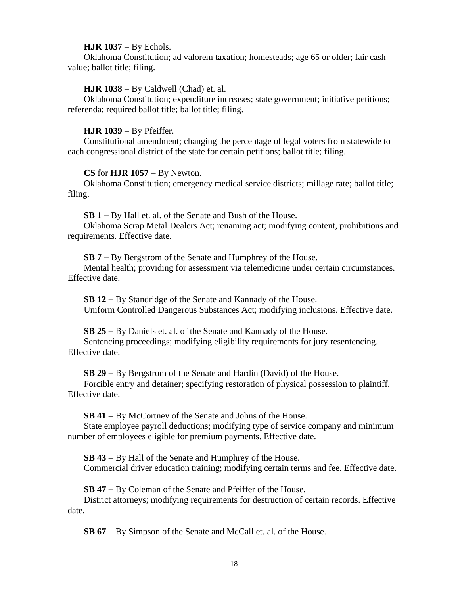# **HJR 1037** − By Echols.

Oklahoma Constitution; ad valorem taxation; homesteads; age 65 or older; fair cash value; ballot title; filing.

# **HJR 1038** − By Caldwell (Chad) et. al.

Oklahoma Constitution; expenditure increases; state government; initiative petitions; referenda; required ballot title; ballot title; filing.

# **HJR 1039** − By Pfeiffer.

Constitutional amendment; changing the percentage of legal voters from statewide to each congressional district of the state for certain petitions; ballot title; filing.

# **CS** for **HJR 1057** − By Newton.

Oklahoma Constitution; emergency medical service districts; millage rate; ballot title; filing.

**SB 1** − By Hall et. al. of the Senate and Bush of the House.

Oklahoma Scrap Metal Dealers Act; renaming act; modifying content, prohibitions and requirements. Effective date.

**SB 7** − By Bergstrom of the Senate and Humphrey of the House.

Mental health; providing for assessment via telemedicine under certain circumstances. Effective date.

**SB 12** − By Standridge of the Senate and Kannady of the House. Uniform Controlled Dangerous Substances Act; modifying inclusions. Effective date.

**SB 25** − By Daniels et. al. of the Senate and Kannady of the House. Sentencing proceedings; modifying eligibility requirements for jury resentencing. Effective date.

**SB 29** − By Bergstrom of the Senate and Hardin (David) of the House.

Forcible entry and detainer; specifying restoration of physical possession to plaintiff. Effective date.

**SB 41** − By McCortney of the Senate and Johns of the House.

State employee payroll deductions; modifying type of service company and minimum number of employees eligible for premium payments. Effective date.

**SB 43** − By Hall of the Senate and Humphrey of the House. Commercial driver education training; modifying certain terms and fee. Effective date.

**SB 47** − By Coleman of the Senate and Pfeiffer of the House.

District attorneys; modifying requirements for destruction of certain records. Effective date.

**SB 67** − By Simpson of the Senate and McCall et. al. of the House.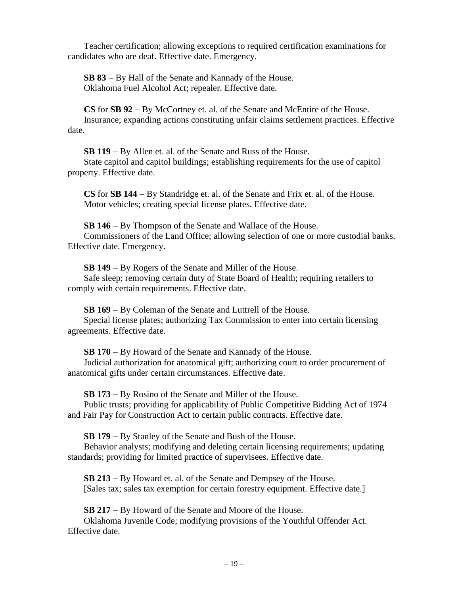Teacher certification; allowing exceptions to required certification examinations for candidates who are deaf. Effective date. Emergency.

**SB 83** − By Hall of the Senate and Kannady of the House. Oklahoma Fuel Alcohol Act; repealer. Effective date.

**CS** for **SB 92** − By McCortney et. al. of the Senate and McEntire of the House. Insurance; expanding actions constituting unfair claims settlement practices. Effective date.

**SB 119** − By Allen et. al. of the Senate and Russ of the House. State capitol and capitol buildings; establishing requirements for the use of capitol property. Effective date.

**CS** for **SB 144** − By Standridge et. al. of the Senate and Frix et. al. of the House. Motor vehicles; creating special license plates. Effective date.

**SB 146** − By Thompson of the Senate and Wallace of the House. Commissioners of the Land Office; allowing selection of one or more custodial banks. Effective date. Emergency.

**SB 149** − By Rogers of the Senate and Miller of the House.

Safe sleep; removing certain duty of State Board of Health; requiring retailers to comply with certain requirements. Effective date.

**SB 169** − By Coleman of the Senate and Luttrell of the House.

Special license plates; authorizing Tax Commission to enter into certain licensing agreements. Effective date.

**SB 170** − By Howard of the Senate and Kannady of the House.

Judicial authorization for anatomical gift; authorizing court to order procurement of anatomical gifts under certain circumstances. Effective date.

**SB 173** − By Rosino of the Senate and Miller of the House.

Public trusts; providing for applicability of Public Competitive Bidding Act of 1974 and Fair Pay for Construction Act to certain public contracts. Effective date.

**SB 179** − By Stanley of the Senate and Bush of the House.

Behavior analysts; modifying and deleting certain licensing requirements; updating standards; providing for limited practice of supervisees. Effective date.

**SB 213** − By Howard et. al. of the Senate and Dempsey of the House. [Sales tax; sales tax exemption for certain forestry equipment. Effective date.]

**SB 217** − By Howard of the Senate and Moore of the House.

Oklahoma Juvenile Code; modifying provisions of the Youthful Offender Act. Effective date.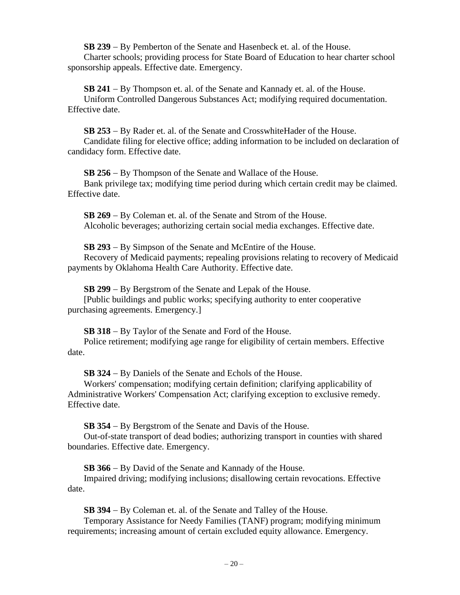**SB 239** − By Pemberton of the Senate and Hasenbeck et. al. of the House. Charter schools; providing process for State Board of Education to hear charter school sponsorship appeals. Effective date. Emergency.

**SB 241** − By Thompson et. al. of the Senate and Kannady et. al. of the House. Uniform Controlled Dangerous Substances Act; modifying required documentation. Effective date.

**SB 253** − By Rader et. al. of the Senate and CrosswhiteHader of the House. Candidate filing for elective office; adding information to be included on declaration of candidacy form. Effective date.

**SB 256** − By Thompson of the Senate and Wallace of the House. Bank privilege tax; modifying time period during which certain credit may be claimed. Effective date.

**SB 269** − By Coleman et. al. of the Senate and Strom of the House. Alcoholic beverages; authorizing certain social media exchanges. Effective date.

**SB 293** − By Simpson of the Senate and McEntire of the House.

Recovery of Medicaid payments; repealing provisions relating to recovery of Medicaid payments by Oklahoma Health Care Authority. Effective date.

**SB 299** − By Bergstrom of the Senate and Lepak of the House.

[Public buildings and public works; specifying authority to enter cooperative purchasing agreements. Emergency.]

**SB 318** − By Taylor of the Senate and Ford of the House.

Police retirement; modifying age range for eligibility of certain members. Effective date.

**SB 324** − By Daniels of the Senate and Echols of the House.

Workers' compensation; modifying certain definition; clarifying applicability of Administrative Workers' Compensation Act; clarifying exception to exclusive remedy. Effective date.

**SB 354** − By Bergstrom of the Senate and Davis of the House.

Out-of-state transport of dead bodies; authorizing transport in counties with shared boundaries. Effective date. Emergency.

**SB 366** − By David of the Senate and Kannady of the House.

Impaired driving; modifying inclusions; disallowing certain revocations. Effective date.

**SB 394** − By Coleman et. al. of the Senate and Talley of the House.

Temporary Assistance for Needy Families (TANF) program; modifying minimum requirements; increasing amount of certain excluded equity allowance. Emergency.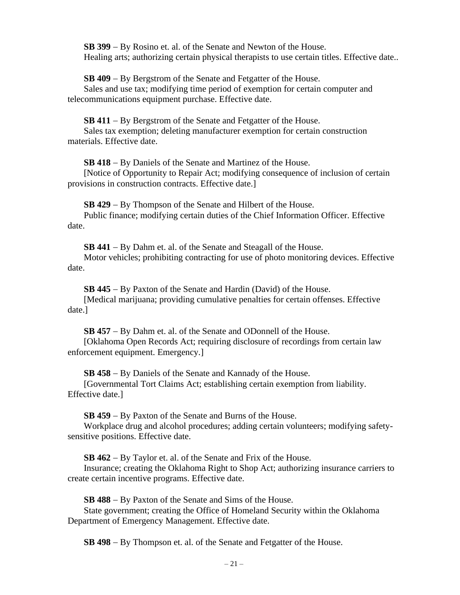**SB 399** − By Rosino et. al. of the Senate and Newton of the House. Healing arts; authorizing certain physical therapists to use certain titles. Effective date..

**SB 409** − By Bergstrom of the Senate and Fetgatter of the House.

Sales and use tax; modifying time period of exemption for certain computer and telecommunications equipment purchase. Effective date.

**SB 411** − By Bergstrom of the Senate and Fetgatter of the House.

Sales tax exemption; deleting manufacturer exemption for certain construction materials. Effective date.

**SB 418** − By Daniels of the Senate and Martinez of the House.

[Notice of Opportunity to Repair Act; modifying consequence of inclusion of certain provisions in construction contracts. Effective date.]

**SB 429** − By Thompson of the Senate and Hilbert of the House.

Public finance; modifying certain duties of the Chief Information Officer. Effective date.

**SB 441** − By Dahm et. al. of the Senate and Steagall of the House.

Motor vehicles; prohibiting contracting for use of photo monitoring devices. Effective date.

**SB 445** − By Paxton of the Senate and Hardin (David) of the House.

[Medical marijuana; providing cumulative penalties for certain offenses. Effective date.]

**SB 457** − By Dahm et. al. of the Senate and ODonnell of the House.

[Oklahoma Open Records Act; requiring disclosure of recordings from certain law enforcement equipment. Emergency.]

**SB 458** − By Daniels of the Senate and Kannady of the House.

[Governmental Tort Claims Act; establishing certain exemption from liability. Effective date.]

**SB 459** − By Paxton of the Senate and Burns of the House.

Workplace drug and alcohol procedures; adding certain volunteers; modifying safetysensitive positions. Effective date.

**SB 462** − By Taylor et. al. of the Senate and Frix of the House.

Insurance; creating the Oklahoma Right to Shop Act; authorizing insurance carriers to create certain incentive programs. Effective date.

**SB 488** − By Paxton of the Senate and Sims of the House.

State government; creating the Office of Homeland Security within the Oklahoma Department of Emergency Management. Effective date.

**SB 498** − By Thompson et. al. of the Senate and Fetgatter of the House.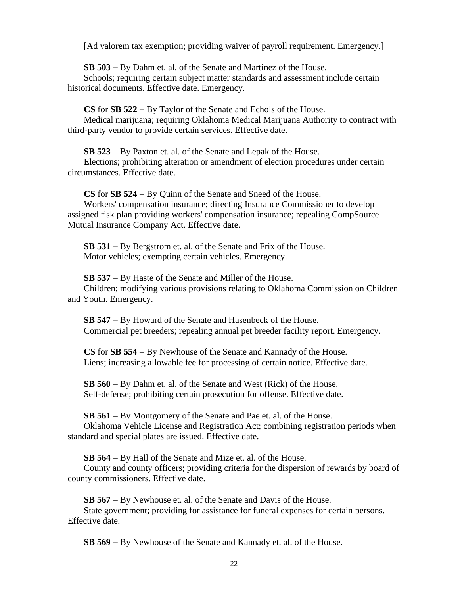[Ad valorem tax exemption; providing waiver of payroll requirement. Emergency.]

**SB 503** − By Dahm et. al. of the Senate and Martinez of the House.

Schools; requiring certain subject matter standards and assessment include certain historical documents. Effective date. Emergency.

**CS** for **SB 522** − By Taylor of the Senate and Echols of the House. Medical marijuana; requiring Oklahoma Medical Marijuana Authority to contract with third-party vendor to provide certain services. Effective date.

**SB 523** − By Paxton et. al. of the Senate and Lepak of the House.

Elections; prohibiting alteration or amendment of election procedures under certain circumstances. Effective date.

**CS** for **SB 524** − By Quinn of the Senate and Sneed of the House.

Workers' compensation insurance; directing Insurance Commissioner to develop assigned risk plan providing workers' compensation insurance; repealing CompSource Mutual Insurance Company Act. Effective date.

**SB 531** − By Bergstrom et. al. of the Senate and Frix of the House. Motor vehicles; exempting certain vehicles. Emergency.

**SB 537** − By Haste of the Senate and Miller of the House. Children; modifying various provisions relating to Oklahoma Commission on Children and Youth. Emergency.

**SB 547** − By Howard of the Senate and Hasenbeck of the House. Commercial pet breeders; repealing annual pet breeder facility report. Emergency.

**CS** for **SB 554** − By Newhouse of the Senate and Kannady of the House. Liens; increasing allowable fee for processing of certain notice. Effective date.

**SB 560** − By Dahm et. al. of the Senate and West (Rick) of the House. Self-defense; prohibiting certain prosecution for offense. Effective date.

**SB 561** − By Montgomery of the Senate and Pae et. al. of the House.

Oklahoma Vehicle License and Registration Act; combining registration periods when standard and special plates are issued. Effective date.

**SB 564** − By Hall of the Senate and Mize et. al. of the House.

County and county officers; providing criteria for the dispersion of rewards by board of county commissioners. Effective date.

**SB 567** − By Newhouse et. al. of the Senate and Davis of the House.

State government; providing for assistance for funeral expenses for certain persons. Effective date.

**SB 569** − By Newhouse of the Senate and Kannady et. al. of the House.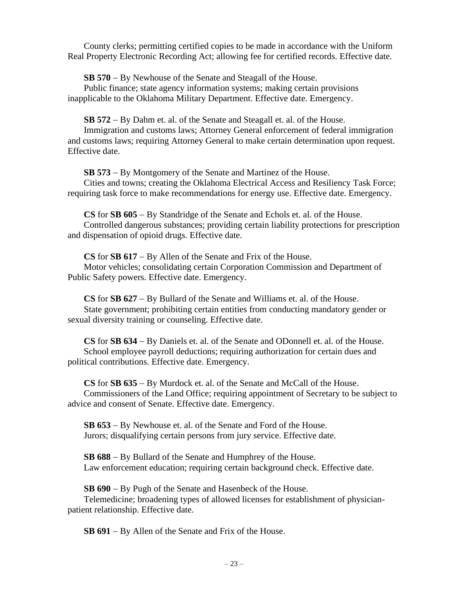County clerks; permitting certified copies to be made in accordance with the Uniform Real Property Electronic Recording Act; allowing fee for certified records. Effective date.

**SB 570** − By Newhouse of the Senate and Steagall of the House.

Public finance; state agency information systems; making certain provisions inapplicable to the Oklahoma Military Department. Effective date. Emergency.

**SB 572** − By Dahm et. al. of the Senate and Steagall et. al. of the House.

Immigration and customs laws; Attorney General enforcement of federal immigration and customs laws; requiring Attorney General to make certain determination upon request. Effective date.

**SB 573** − By Montgomery of the Senate and Martinez of the House. Cities and towns; creating the Oklahoma Electrical Access and Resiliency Task Force; requiring task force to make recommendations for energy use. Effective date. Emergency.

**CS** for **SB 605** − By Standridge of the Senate and Echols et. al. of the House. Controlled dangerous substances; providing certain liability protections for prescription and dispensation of opioid drugs. Effective date.

**CS** for **SB 617** − By Allen of the Senate and Frix of the House. Motor vehicles; consolidating certain Corporation Commission and Department of Public Safety powers. Effective date. Emergency.

**CS** for **SB 627** − By Bullard of the Senate and Williams et. al. of the House. State government; prohibiting certain entities from conducting mandatory gender or sexual diversity training or counseling. Effective date.

**CS** for **SB 634** − By Daniels et. al. of the Senate and ODonnell et. al. of the House. School employee payroll deductions; requiring authorization for certain dues and political contributions. Effective date. Emergency.

**CS** for **SB 635** − By Murdock et. al. of the Senate and McCall of the House. Commissioners of the Land Office; requiring appointment of Secretary to be subject to advice and consent of Senate. Effective date. Emergency.

**SB 653** − By Newhouse et. al. of the Senate and Ford of the House. Jurors; disqualifying certain persons from jury service. Effective date.

**SB 688** − By Bullard of the Senate and Humphrey of the House. Law enforcement education; requiring certain background check. Effective date.

**SB 690** − By Pugh of the Senate and Hasenbeck of the House.

Telemedicine; broadening types of allowed licenses for establishment of physicianpatient relationship. Effective date.

**SB 691** − By Allen of the Senate and Frix of the House.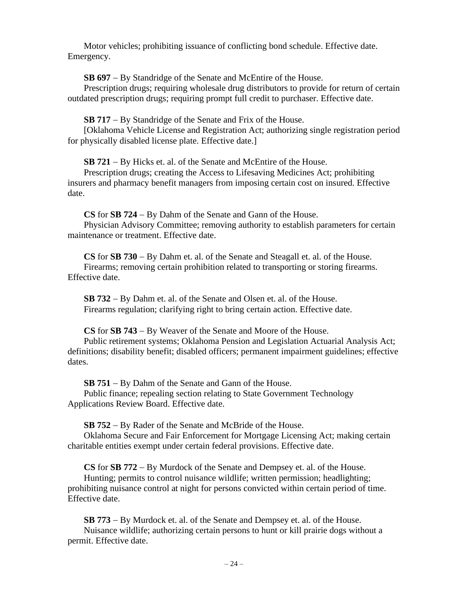Motor vehicles; prohibiting issuance of conflicting bond schedule. Effective date. Emergency.

**SB 697** − By Standridge of the Senate and McEntire of the House.

Prescription drugs; requiring wholesale drug distributors to provide for return of certain outdated prescription drugs; requiring prompt full credit to purchaser. Effective date.

**SB 717** − By Standridge of the Senate and Frix of the House.

[Oklahoma Vehicle License and Registration Act; authorizing single registration period for physically disabled license plate. Effective date.]

**SB 721** − By Hicks et. al. of the Senate and McEntire of the House.

Prescription drugs; creating the Access to Lifesaving Medicines Act; prohibiting insurers and pharmacy benefit managers from imposing certain cost on insured. Effective date.

**CS** for **SB 724** − By Dahm of the Senate and Gann of the House. Physician Advisory Committee; removing authority to establish parameters for certain maintenance or treatment. Effective date.

**CS** for **SB 730** − By Dahm et. al. of the Senate and Steagall et. al. of the House. Firearms; removing certain prohibition related to transporting or storing firearms. Effective date.

**SB 732** − By Dahm et. al. of the Senate and Olsen et. al. of the House. Firearms regulation; clarifying right to bring certain action. Effective date.

**CS** for **SB 743** − By Weaver of the Senate and Moore of the House.

Public retirement systems; Oklahoma Pension and Legislation Actuarial Analysis Act; definitions; disability benefit; disabled officers; permanent impairment guidelines; effective dates.

**SB 751** − By Dahm of the Senate and Gann of the House.

Public finance; repealing section relating to State Government Technology Applications Review Board. Effective date.

**SB 752** − By Rader of the Senate and McBride of the House.

Oklahoma Secure and Fair Enforcement for Mortgage Licensing Act; making certain charitable entities exempt under certain federal provisions. Effective date.

**CS** for **SB 772** − By Murdock of the Senate and Dempsey et. al. of the House.

Hunting; permits to control nuisance wildlife; written permission; headlighting; prohibiting nuisance control at night for persons convicted within certain period of time. Effective date.

**SB 773** − By Murdock et. al. of the Senate and Dempsey et. al. of the House. Nuisance wildlife; authorizing certain persons to hunt or kill prairie dogs without a permit. Effective date.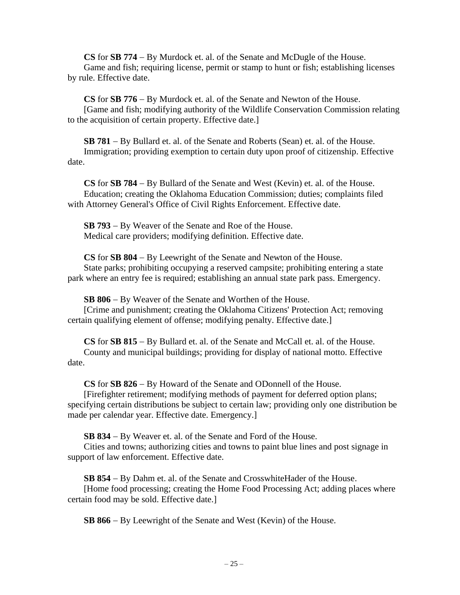**CS** for **SB 774** − By Murdock et. al. of the Senate and McDugle of the House. Game and fish; requiring license, permit or stamp to hunt or fish; establishing licenses by rule. Effective date.

**CS** for **SB 776** − By Murdock et. al. of the Senate and Newton of the House. [Game and fish; modifying authority of the Wildlife Conservation Commission relating to the acquisition of certain property. Effective date.]

**SB 781** − By Bullard et. al. of the Senate and Roberts (Sean) et. al. of the House. Immigration; providing exemption to certain duty upon proof of citizenship. Effective date.

**CS** for **SB 784** − By Bullard of the Senate and West (Kevin) et. al. of the House. Education; creating the Oklahoma Education Commission; duties; complaints filed with Attorney General's Office of Civil Rights Enforcement. Effective date.

**SB 793** − By Weaver of the Senate and Roe of the House. Medical care providers; modifying definition. Effective date.

**CS** for **SB 804** − By Leewright of the Senate and Newton of the House. State parks; prohibiting occupying a reserved campsite; prohibiting entering a state park where an entry fee is required; establishing an annual state park pass. Emergency.

**SB 806** − By Weaver of the Senate and Worthen of the House. [Crime and punishment; creating the Oklahoma Citizens' Protection Act; removing certain qualifying element of offense; modifying penalty. Effective date.]

**CS** for **SB 815** − By Bullard et. al. of the Senate and McCall et. al. of the House. County and municipal buildings; providing for display of national motto. Effective date.

**CS** for **SB 826** − By Howard of the Senate and ODonnell of the House.

[Firefighter retirement; modifying methods of payment for deferred option plans; specifying certain distributions be subject to certain law; providing only one distribution be made per calendar year. Effective date. Emergency.]

**SB 834** − By Weaver et. al. of the Senate and Ford of the House.

Cities and towns; authorizing cities and towns to paint blue lines and post signage in support of law enforcement. Effective date.

**SB 854** − By Dahm et. al. of the Senate and CrosswhiteHader of the House. [Home food processing; creating the Home Food Processing Act; adding places where certain food may be sold. Effective date.]

**SB 866** − By Leewright of the Senate and West (Kevin) of the House.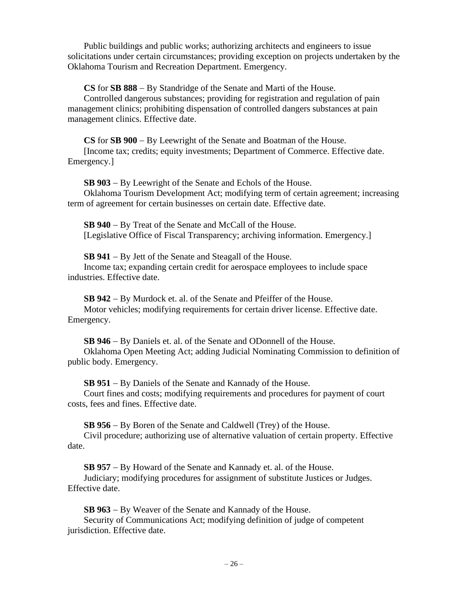Public buildings and public works; authorizing architects and engineers to issue solicitations under certain circumstances; providing exception on projects undertaken by the Oklahoma Tourism and Recreation Department. Emergency.

**CS** for **SB 888** − By Standridge of the Senate and Marti of the House.

Controlled dangerous substances; providing for registration and regulation of pain management clinics; prohibiting dispensation of controlled dangers substances at pain management clinics. Effective date.

**CS** for **SB 900** − By Leewright of the Senate and Boatman of the House. [Income tax; credits; equity investments; Department of Commerce. Effective date. Emergency.]

**SB 903** − By Leewright of the Senate and Echols of the House. Oklahoma Tourism Development Act; modifying term of certain agreement; increasing term of agreement for certain businesses on certain date. Effective date.

**SB 940** − By Treat of the Senate and McCall of the House. [Legislative Office of Fiscal Transparency; archiving information. Emergency.]

**SB 941** − By Jett of the Senate and Steagall of the House. Income tax; expanding certain credit for aerospace employees to include space industries. Effective date.

**SB 942** − By Murdock et. al. of the Senate and Pfeiffer of the House. Motor vehicles; modifying requirements for certain driver license. Effective date. Emergency.

**SB 946** − By Daniels et. al. of the Senate and ODonnell of the House. Oklahoma Open Meeting Act; adding Judicial Nominating Commission to definition of public body. Emergency.

**SB 951** − By Daniels of the Senate and Kannady of the House.

Court fines and costs; modifying requirements and procedures for payment of court costs, fees and fines. Effective date.

**SB 956** − By Boren of the Senate and Caldwell (Trey) of the House.

Civil procedure; authorizing use of alternative valuation of certain property. Effective date.

**SB 957** − By Howard of the Senate and Kannady et. al. of the House. Judiciary; modifying procedures for assignment of substitute Justices or Judges. Effective date.

**SB 963** − By Weaver of the Senate and Kannady of the House. Security of Communications Act; modifying definition of judge of competent jurisdiction. Effective date.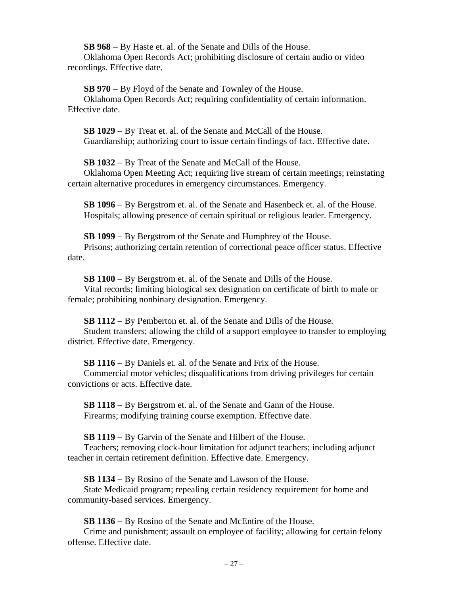**SB 968** − By Haste et. al. of the Senate and Dills of the House.

Oklahoma Open Records Act; prohibiting disclosure of certain audio or video recordings. Effective date.

**SB 970** − By Floyd of the Senate and Townley of the House. Oklahoma Open Records Act; requiring confidentiality of certain information. Effective date.

**SB 1029** − By Treat et. al. of the Senate and McCall of the House. Guardianship; authorizing court to issue certain findings of fact. Effective date.

**SB 1032** − By Treat of the Senate and McCall of the House.

Oklahoma Open Meeting Act; requiring live stream of certain meetings; reinstating certain alternative procedures in emergency circumstances. Emergency.

**SB 1096** − By Bergstrom et. al. of the Senate and Hasenbeck et. al. of the House. Hospitals; allowing presence of certain spiritual or religious leader. Emergency.

**SB 1099** − By Bergstrom of the Senate and Humphrey of the House. Prisons; authorizing certain retention of correctional peace officer status. Effective date.

**SB 1100** − By Bergstrom et. al. of the Senate and Dills of the House. Vital records; limiting biological sex designation on certificate of birth to male or female; prohibiting nonbinary designation. Emergency.

**SB 1112** − By Pemberton et. al. of the Senate and Dills of the House. Student transfers; allowing the child of a support employee to transfer to employing district. Effective date. Emergency.

**SB 1116** − By Daniels et. al. of the Senate and Frix of the House. Commercial motor vehicles; disqualifications from driving privileges for certain convictions or acts. Effective date.

**SB 1118** − By Bergstrom et. al. of the Senate and Gann of the House. Firearms; modifying training course exemption. Effective date.

**SB 1119** − By Garvin of the Senate and Hilbert of the House. Teachers; removing clock-hour limitation for adjunct teachers; including adjunct teacher in certain retirement definition. Effective date. Emergency.

**SB 1134** − By Rosino of the Senate and Lawson of the House. State Medicaid program; repealing certain residency requirement for home and community-based services. Emergency.

**SB 1136** − By Rosino of the Senate and McEntire of the House. Crime and punishment; assault on employee of facility; allowing for certain felony offense. Effective date.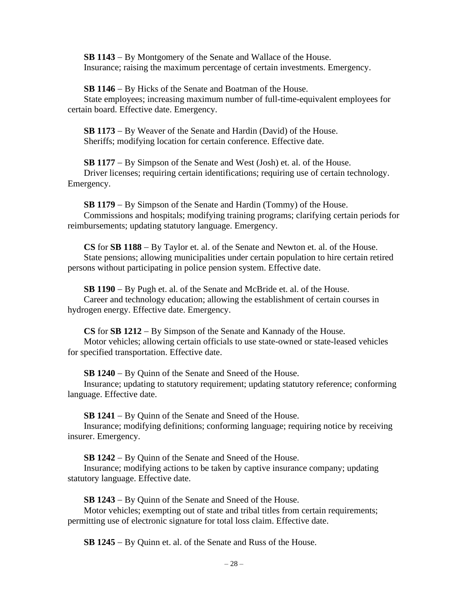**SB 1143** − By Montgomery of the Senate and Wallace of the House. Insurance; raising the maximum percentage of certain investments. Emergency.

**SB 1146** − By Hicks of the Senate and Boatman of the House. State employees; increasing maximum number of full-time-equivalent employees for certain board. Effective date. Emergency.

**SB 1173** − By Weaver of the Senate and Hardin (David) of the House. Sheriffs; modifying location for certain conference. Effective date.

**SB 1177** − By Simpson of the Senate and West (Josh) et. al. of the House. Driver licenses; requiring certain identifications; requiring use of certain technology. Emergency.

**SB 1179** − By Simpson of the Senate and Hardin (Tommy) of the House. Commissions and hospitals; modifying training programs; clarifying certain periods for reimbursements; updating statutory language. Emergency.

**CS** for **SB 1188** − By Taylor et. al. of the Senate and Newton et. al. of the House. State pensions; allowing municipalities under certain population to hire certain retired persons without participating in police pension system. Effective date.

**SB 1190** − By Pugh et. al. of the Senate and McBride et. al. of the House. Career and technology education; allowing the establishment of certain courses in hydrogen energy. Effective date. Emergency.

**CS** for **SB 1212** − By Simpson of the Senate and Kannady of the House. Motor vehicles; allowing certain officials to use state-owned or state-leased vehicles for specified transportation. Effective date.

**SB 1240** − By Quinn of the Senate and Sneed of the House.

Insurance; updating to statutory requirement; updating statutory reference; conforming language. Effective date.

**SB 1241** − By Quinn of the Senate and Sneed of the House.

Insurance; modifying definitions; conforming language; requiring notice by receiving insurer. Emergency.

**SB 1242** − By Quinn of the Senate and Sneed of the House.

Insurance; modifying actions to be taken by captive insurance company; updating statutory language. Effective date.

**SB 1243** − By Quinn of the Senate and Sneed of the House.

Motor vehicles; exempting out of state and tribal titles from certain requirements; permitting use of electronic signature for total loss claim. Effective date.

**SB 1245** − By Quinn et. al. of the Senate and Russ of the House.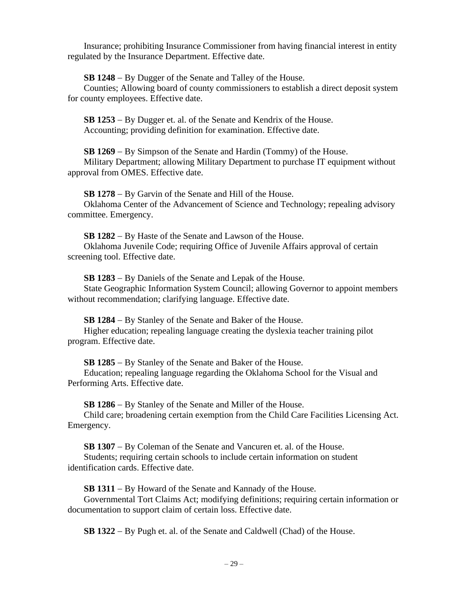Insurance; prohibiting Insurance Commissioner from having financial interest in entity regulated by the Insurance Department. Effective date.

**SB 1248** − By Dugger of the Senate and Talley of the House.

Counties; Allowing board of county commissioners to establish a direct deposit system for county employees. Effective date.

**SB 1253** − By Dugger et. al. of the Senate and Kendrix of the House. Accounting; providing definition for examination. Effective date.

**SB 1269** − By Simpson of the Senate and Hardin (Tommy) of the House. Military Department; allowing Military Department to purchase IT equipment without approval from OMES. Effective date.

**SB 1278** − By Garvin of the Senate and Hill of the House. Oklahoma Center of the Advancement of Science and Technology; repealing advisory committee. Emergency.

**SB 1282** − By Haste of the Senate and Lawson of the House. Oklahoma Juvenile Code; requiring Office of Juvenile Affairs approval of certain screening tool. Effective date.

**SB 1283** − By Daniels of the Senate and Lepak of the House.

State Geographic Information System Council; allowing Governor to appoint members without recommendation; clarifying language. Effective date.

**SB 1284** − By Stanley of the Senate and Baker of the House. Higher education; repealing language creating the dyslexia teacher training pilot program. Effective date.

**SB 1285** − By Stanley of the Senate and Baker of the House.

Education; repealing language regarding the Oklahoma School for the Visual and Performing Arts. Effective date.

**SB 1286** − By Stanley of the Senate and Miller of the House.

Child care; broadening certain exemption from the Child Care Facilities Licensing Act. Emergency.

**SB 1307** − By Coleman of the Senate and Vancuren et. al. of the House.

Students; requiring certain schools to include certain information on student identification cards. Effective date.

**SB 1311** − By Howard of the Senate and Kannady of the House.

Governmental Tort Claims Act; modifying definitions; requiring certain information or documentation to support claim of certain loss. Effective date.

**SB 1322** − By Pugh et. al. of the Senate and Caldwell (Chad) of the House.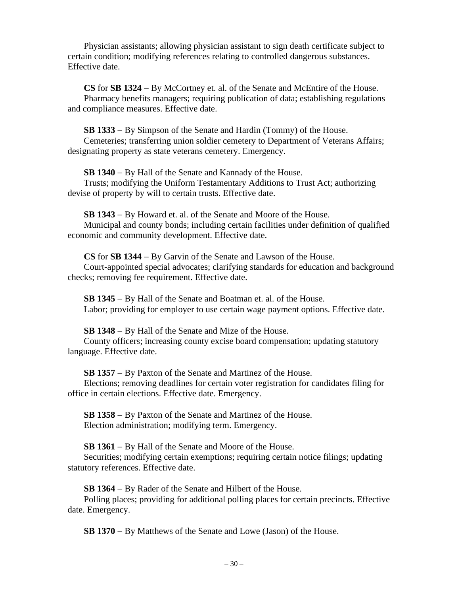Physician assistants; allowing physician assistant to sign death certificate subject to certain condition; modifying references relating to controlled dangerous substances. Effective date.

**CS** for **SB 1324** − By McCortney et. al. of the Senate and McEntire of the House. Pharmacy benefits managers; requiring publication of data; establishing regulations and compliance measures. Effective date.

**SB 1333** − By Simpson of the Senate and Hardin (Tommy) of the House. Cemeteries; transferring union soldier cemetery to Department of Veterans Affairs; designating property as state veterans cemetery. Emergency.

**SB 1340** − By Hall of the Senate and Kannady of the House.

Trusts; modifying the Uniform Testamentary Additions to Trust Act; authorizing devise of property by will to certain trusts. Effective date.

**SB 1343** − By Howard et. al. of the Senate and Moore of the House.

Municipal and county bonds; including certain facilities under definition of qualified economic and community development. Effective date.

**CS** for **SB 1344** − By Garvin of the Senate and Lawson of the House. Court-appointed special advocates; clarifying standards for education and background checks; removing fee requirement. Effective date.

**SB 1345** − By Hall of the Senate and Boatman et. al. of the House. Labor; providing for employer to use certain wage payment options. Effective date.

**SB 1348** − By Hall of the Senate and Mize of the House. County officers; increasing county excise board compensation; updating statutory language. Effective date.

**SB 1357** − By Paxton of the Senate and Martinez of the House. Elections; removing deadlines for certain voter registration for candidates filing for office in certain elections. Effective date. Emergency.

**SB 1358** − By Paxton of the Senate and Martinez of the House. Election administration; modifying term. Emergency.

**SB 1361** − By Hall of the Senate and Moore of the House.

Securities; modifying certain exemptions; requiring certain notice filings; updating statutory references. Effective date.

**SB 1364** − By Rader of the Senate and Hilbert of the House.

Polling places; providing for additional polling places for certain precincts. Effective date. Emergency.

**SB 1370** − By Matthews of the Senate and Lowe (Jason) of the House.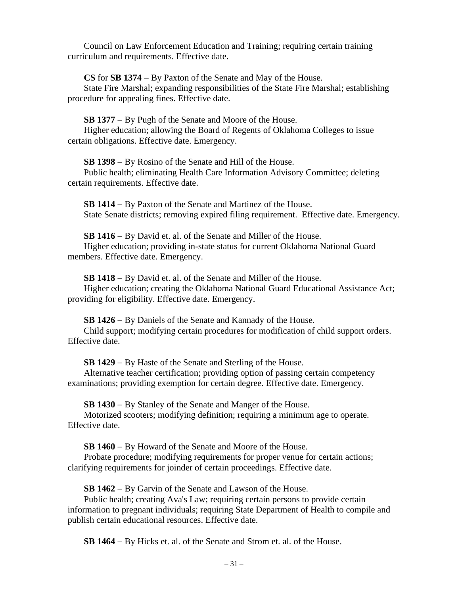Council on Law Enforcement Education and Training; requiring certain training curriculum and requirements. Effective date.

**CS** for **SB 1374** − By Paxton of the Senate and May of the House.

State Fire Marshal; expanding responsibilities of the State Fire Marshal; establishing procedure for appealing fines. Effective date.

**SB 1377** − By Pugh of the Senate and Moore of the House.

Higher education; allowing the Board of Regents of Oklahoma Colleges to issue certain obligations. Effective date. Emergency.

**SB 1398** − By Rosino of the Senate and Hill of the House.

Public health; eliminating Health Care Information Advisory Committee; deleting certain requirements. Effective date.

**SB 1414** − By Paxton of the Senate and Martinez of the House. State Senate districts; removing expired filing requirement. Effective date. Emergency.

**SB 1416** − By David et. al. of the Senate and Miller of the House. Higher education; providing in-state status for current Oklahoma National Guard members. Effective date. Emergency.

**SB 1418** − By David et. al. of the Senate and Miller of the House. Higher education; creating the Oklahoma National Guard Educational Assistance Act; providing for eligibility. Effective date. Emergency.

**SB 1426** − By Daniels of the Senate and Kannady of the House. Child support; modifying certain procedures for modification of child support orders. Effective date.

**SB 1429** − By Haste of the Senate and Sterling of the House.

Alternative teacher certification; providing option of passing certain competency examinations; providing exemption for certain degree. Effective date. Emergency.

**SB 1430** − By Stanley of the Senate and Manger of the House.

Motorized scooters; modifying definition; requiring a minimum age to operate. Effective date.

**SB 1460** − By Howard of the Senate and Moore of the House.

Probate procedure; modifying requirements for proper venue for certain actions; clarifying requirements for joinder of certain proceedings. Effective date.

**SB 1462** − By Garvin of the Senate and Lawson of the House.

Public health; creating Ava's Law; requiring certain persons to provide certain information to pregnant individuals; requiring State Department of Health to compile and publish certain educational resources. Effective date.

**SB 1464** − By Hicks et. al. of the Senate and Strom et. al. of the House.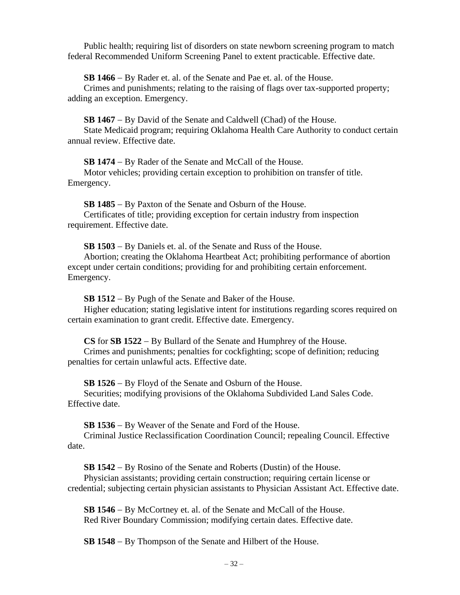Public health; requiring list of disorders on state newborn screening program to match federal Recommended Uniform Screening Panel to extent practicable. Effective date.

**SB 1466** − By Rader et. al. of the Senate and Pae et. al. of the House.

Crimes and punishments; relating to the raising of flags over tax-supported property; adding an exception. Emergency.

**SB 1467** − By David of the Senate and Caldwell (Chad) of the House.

State Medicaid program; requiring Oklahoma Health Care Authority to conduct certain annual review. Effective date.

**SB 1474** − By Rader of the Senate and McCall of the House.

Motor vehicles; providing certain exception to prohibition on transfer of title. Emergency.

**SB 1485** − By Paxton of the Senate and Osburn of the House.

Certificates of title; providing exception for certain industry from inspection requirement. Effective date.

**SB 1503** − By Daniels et. al. of the Senate and Russ of the House.

Abortion; creating the Oklahoma Heartbeat Act; prohibiting performance of abortion except under certain conditions; providing for and prohibiting certain enforcement. Emergency.

**SB 1512** − By Pugh of the Senate and Baker of the House.

Higher education; stating legislative intent for institutions regarding scores required on certain examination to grant credit. Effective date. Emergency.

**CS** for **SB 1522** − By Bullard of the Senate and Humphrey of the House.

Crimes and punishments; penalties for cockfighting; scope of definition; reducing penalties for certain unlawful acts. Effective date.

**SB 1526** − By Floyd of the Senate and Osburn of the House.

Securities; modifying provisions of the Oklahoma Subdivided Land Sales Code. Effective date.

**SB 1536** − By Weaver of the Senate and Ford of the House.

Criminal Justice Reclassification Coordination Council; repealing Council. Effective date.

**SB 1542** − By Rosino of the Senate and Roberts (Dustin) of the House. Physician assistants; providing certain construction; requiring certain license or credential; subjecting certain physician assistants to Physician Assistant Act. Effective date.

**SB 1546** − By McCortney et. al. of the Senate and McCall of the House. Red River Boundary Commission; modifying certain dates. Effective date.

**SB 1548** − By Thompson of the Senate and Hilbert of the House.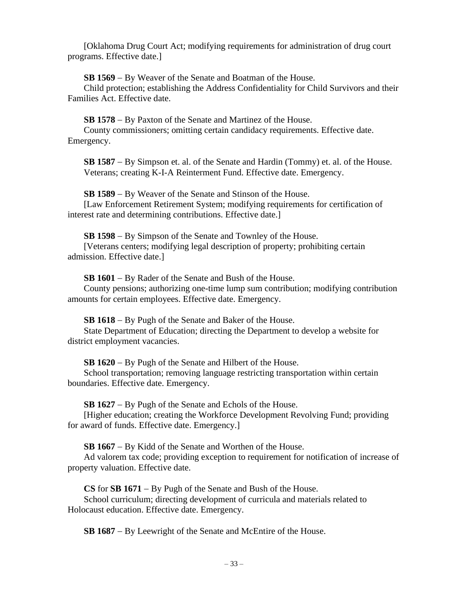[Oklahoma Drug Court Act; modifying requirements for administration of drug court programs. Effective date.]

**SB 1569** − By Weaver of the Senate and Boatman of the House.

Child protection; establishing the Address Confidentiality for Child Survivors and their Families Act. Effective date.

**SB 1578** − By Paxton of the Senate and Martinez of the House.

County commissioners; omitting certain candidacy requirements. Effective date. Emergency.

**SB 1587** − By Simpson et. al. of the Senate and Hardin (Tommy) et. al. of the House. Veterans; creating K-I-A Reinterment Fund. Effective date. Emergency.

**SB 1589** − By Weaver of the Senate and Stinson of the House. [Law Enforcement Retirement System; modifying requirements for certification of interest rate and determining contributions. Effective date.]

**SB 1598** − By Simpson of the Senate and Townley of the House.

[Veterans centers; modifying legal description of property; prohibiting certain admission. Effective date.]

**SB 1601** − By Rader of the Senate and Bush of the House.

County pensions; authorizing one-time lump sum contribution; modifying contribution amounts for certain employees. Effective date. Emergency.

**SB 1618** − By Pugh of the Senate and Baker of the House.

State Department of Education; directing the Department to develop a website for district employment vacancies.

**SB 1620** − By Pugh of the Senate and Hilbert of the House.

School transportation; removing language restricting transportation within certain boundaries. Effective date. Emergency.

**SB 1627** − By Pugh of the Senate and Echols of the House.

[Higher education; creating the Workforce Development Revolving Fund; providing for award of funds. Effective date. Emergency.]

**SB 1667** − By Kidd of the Senate and Worthen of the House.

Ad valorem tax code; providing exception to requirement for notification of increase of property valuation. Effective date.

**CS** for **SB 1671** − By Pugh of the Senate and Bush of the House.

School curriculum; directing development of curricula and materials related to Holocaust education. Effective date. Emergency.

**SB 1687** − By Leewright of the Senate and McEntire of the House.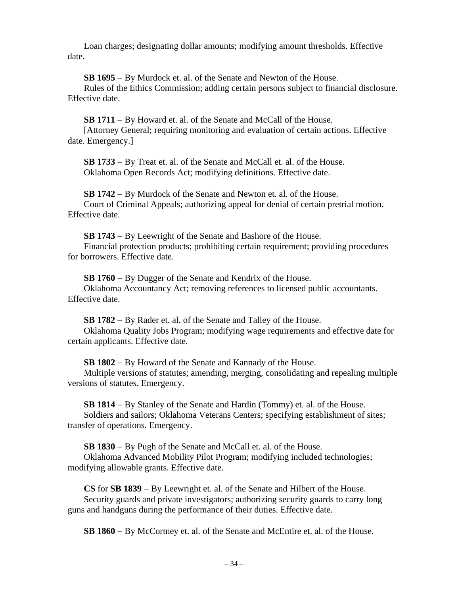Loan charges; designating dollar amounts; modifying amount thresholds. Effective date.

**SB 1695** − By Murdock et. al. of the Senate and Newton of the House.

Rules of the Ethics Commission; adding certain persons subject to financial disclosure. Effective date.

**SB 1711** − By Howard et. al. of the Senate and McCall of the House. [Attorney General; requiring monitoring and evaluation of certain actions. Effective date. Emergency.]

**SB 1733** − By Treat et. al. of the Senate and McCall et. al. of the House. Oklahoma Open Records Act; modifying definitions. Effective date.

**SB 1742** − By Murdock of the Senate and Newton et. al. of the House. Court of Criminal Appeals; authorizing appeal for denial of certain pretrial motion. Effective date.

**SB 1743** − By Leewright of the Senate and Bashore of the House. Financial protection products; prohibiting certain requirement; providing procedures for borrowers. Effective date.

**SB 1760** − By Dugger of the Senate and Kendrix of the House. Oklahoma Accountancy Act; removing references to licensed public accountants. Effective date.

**SB 1782** − By Rader et. al. of the Senate and Talley of the House. Oklahoma Quality Jobs Program; modifying wage requirements and effective date for certain applicants. Effective date.

**SB 1802** − By Howard of the Senate and Kannady of the House.

Multiple versions of statutes; amending, merging, consolidating and repealing multiple versions of statutes. Emergency.

**SB 1814** − By Stanley of the Senate and Hardin (Tommy) et. al. of the House. Soldiers and sailors; Oklahoma Veterans Centers; specifying establishment of sites; transfer of operations. Emergency.

**SB 1830** − By Pugh of the Senate and McCall et. al. of the House.

Oklahoma Advanced Mobility Pilot Program; modifying included technologies; modifying allowable grants. Effective date.

**CS** for **SB 1839** − By Leewright et. al. of the Senate and Hilbert of the House. Security guards and private investigators; authorizing security guards to carry long guns and handguns during the performance of their duties. Effective date.

**SB 1860** − By McCortney et. al. of the Senate and McEntire et. al. of the House.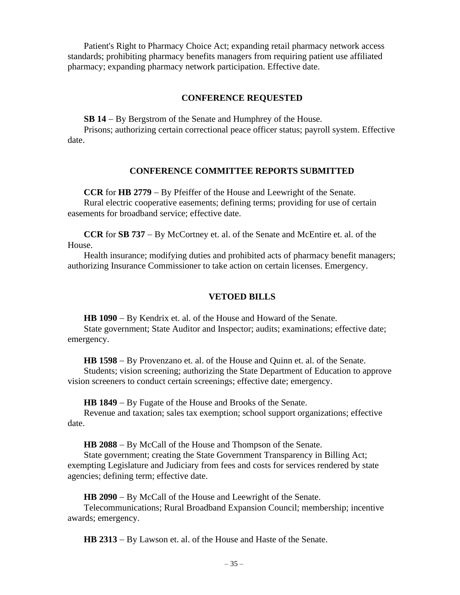Patient's Right to Pharmacy Choice Act; expanding retail pharmacy network access standards; prohibiting pharmacy benefits managers from requiring patient use affiliated pharmacy; expanding pharmacy network participation. Effective date.

## **CONFERENCE REQUESTED**

**SB 14** − By Bergstrom of the Senate and Humphrey of the House.

Prisons; authorizing certain correctional peace officer status; payroll system. Effective date.

## **CONFERENCE COMMITTEE REPORTS SUBMITTED**

**CCR** for **HB 2779** − By Pfeiffer of the House and Leewright of the Senate. Rural electric cooperative easements; defining terms; providing for use of certain easements for broadband service; effective date.

**CCR** for **SB 737** − By McCortney et. al. of the Senate and McEntire et. al. of the House.

Health insurance; modifying duties and prohibited acts of pharmacy benefit managers; authorizing Insurance Commissioner to take action on certain licenses. Emergency.

#### **VETOED BILLS**

**HB 1090** − By Kendrix et. al. of the House and Howard of the Senate.

State government; State Auditor and Inspector; audits; examinations; effective date; emergency.

**HB 1598** − By Provenzano et. al. of the House and Quinn et. al. of the Senate.

Students; vision screening; authorizing the State Department of Education to approve vision screeners to conduct certain screenings; effective date; emergency.

**HB 1849** − By Fugate of the House and Brooks of the Senate.

Revenue and taxation; sales tax exemption; school support organizations; effective date.

**HB 2088** − By McCall of the House and Thompson of the Senate.

State government; creating the State Government Transparency in Billing Act; exempting Legislature and Judiciary from fees and costs for services rendered by state agencies; defining term; effective date.

**HB 2090** − By McCall of the House and Leewright of the Senate.

Telecommunications; Rural Broadband Expansion Council; membership; incentive awards; emergency.

**HB 2313** − By Lawson et. al. of the House and Haste of the Senate.